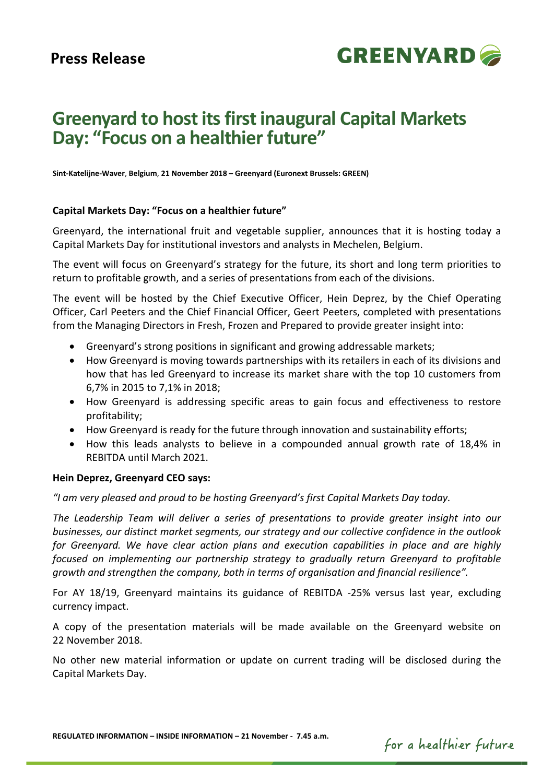

# **Greenyard to host its first inaugural Capital Markets Day: "Focus on a healthier future"**

**Sint-Katelijne-Waver**, **Belgium**, **21 November 2018 – Greenyard (Euronext Brussels: GREEN)**

### **Capital Markets Day: "Focus on a healthier future"**

Greenyard, the international fruit and vegetable supplier, announces that it is hosting today a Capital Markets Day for institutional investors and analysts in Mechelen, Belgium.

The event will focus on Greenyard's strategy for the future, its short and long term priorities to return to profitable growth, and a series of presentations from each of the divisions.

The event will be hosted by the Chief Executive Officer, Hein Deprez, by the Chief Operating Officer, Carl Peeters and the Chief Financial Officer, Geert Peeters, completed with presentations from the Managing Directors in Fresh, Frozen and Prepared to provide greater insight into:

- Greenyard's strong positions in significant and growing addressable markets;
- How Greenyard is moving towards partnerships with its retailers in each of its divisions and how that has led Greenyard to increase its market share with the top 10 customers from 6,7% in 2015 to 7,1% in 2018;
- How Greenyard is addressing specific areas to gain focus and effectiveness to restore profitability;
- How Greenyard is ready for the future through innovation and sustainability efforts;
- How this leads analysts to believe in a compounded annual growth rate of 18,4% in REBITDA until March 2021.

## **Hein Deprez, Greenyard CEO says:**

*"I am very pleased and proud to be hosting Greenyard's first Capital Markets Day today.* 

*The Leadership Team will deliver a series of presentations to provide greater insight into our businesses, our distinct market segments, our strategy and our collective confidence in the outlook for Greenyard. We have clear action plans and execution capabilities in place and are highly focused on implementing our partnership strategy to gradually return Greenyard to profitable growth and strengthen the company, both in terms of organisation and financial resilience".*

For AY 18/19, Greenyard maintains its guidance of REBITDA -25% versus last year, excluding currency impact.

A copy of the presentation materials will be made available on the Greenyard website on 22 November 2018.

No other new material information or update on current trading will be disclosed during the Capital Markets Day.

**REGULATED INFORMATION – INSIDE INFORMATION – 21 November - 7.45 a.m.**

for a healthier future